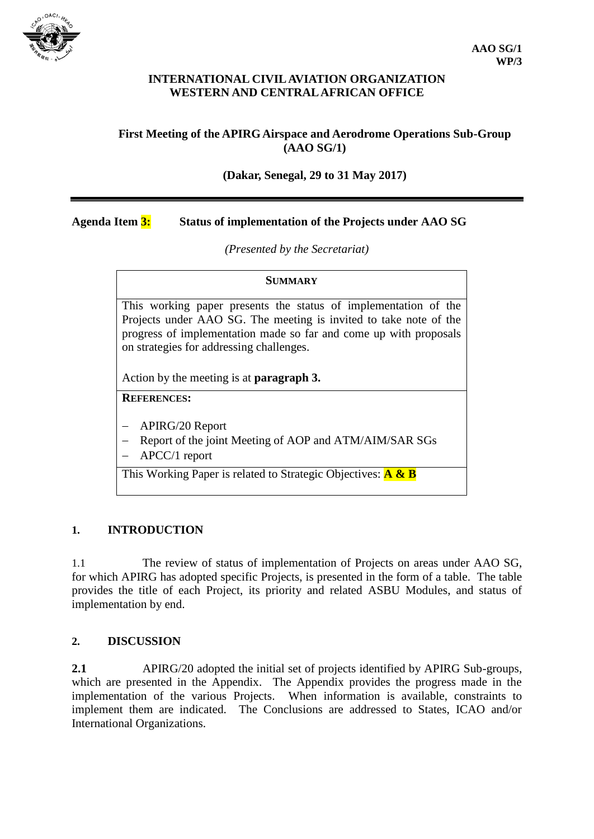

#### **INTERNATIONAL CIVIL AVIATION ORGANIZATION WESTERN AND CENTRAL AFRICAN OFFICE**

# **First Meeting of the APIRG Airspace and Aerodrome Operations Sub-Group (AAO SG/1)**

## **(Dakar, Senegal, 29 to 31 May 2017)**

### **Agenda Item 3: Status of implementation of the Projects under AAO SG**

*(Presented by the Secretariat)*

| <b>SUMMARY</b>                                                                                                                                                                                                                                        |
|-------------------------------------------------------------------------------------------------------------------------------------------------------------------------------------------------------------------------------------------------------|
| This working paper presents the status of implementation of the<br>Projects under AAO SG. The meeting is invited to take note of the<br>progress of implementation made so far and come up with proposals<br>on strategies for addressing challenges. |
| Action by the meeting is at <b>paragraph 3.</b>                                                                                                                                                                                                       |
| <b>REFERENCES:</b>                                                                                                                                                                                                                                    |
| <b>APIRG/20 Report</b><br>Report of the joint Meeting of AOP and ATM/AIM/SAR SGs<br>$\Lambda$ DCC/1 report                                                                                                                                            |

APCC/1 report

This Working Paper is related to Strategic Objectives: **A & B**

# **1. INTRODUCTION**

1.1 The review of status of implementation of Projects on areas under AAO SG, for which APIRG has adopted specific Projects, is presented in the form of a table. The table provides the title of each Project, its priority and related ASBU Modules, and status of implementation by end.

#### **2. DISCUSSION**

**2.1** APIRG/20 adopted the initial set of projects identified by APIRG Sub-groups, which are presented in the Appendix. The Appendix provides the progress made in the implementation of the various Projects. When information is available, constraints to implement them are indicated. The Conclusions are addressed to States, ICAO and/or International Organizations.